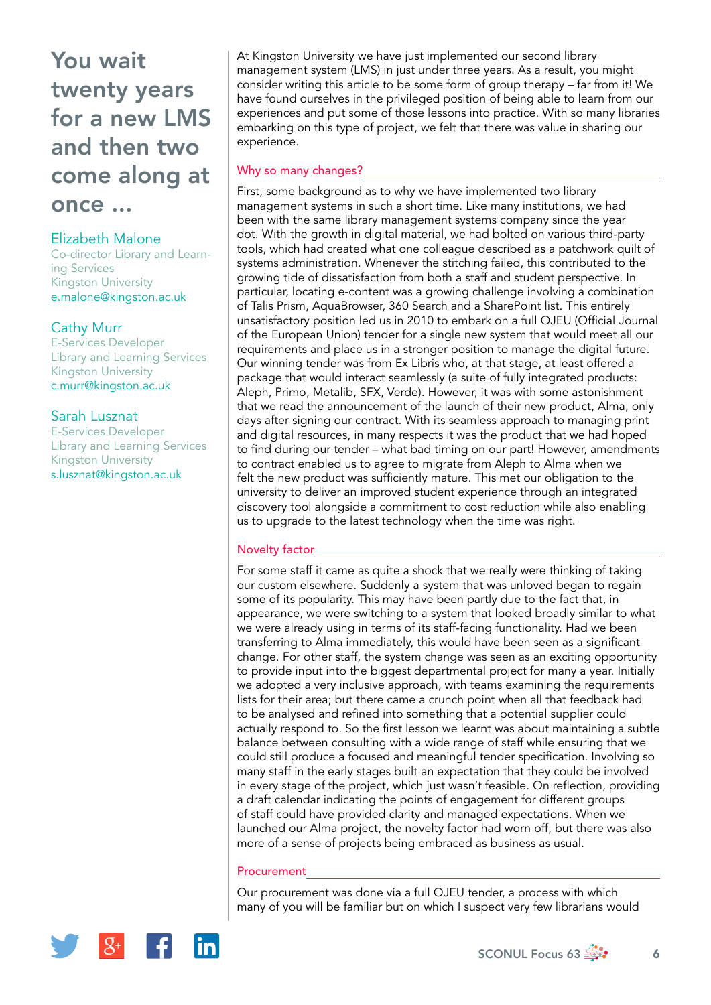## Elizabeth Malone

Co-director Library and Learning Services Kingston University [e.malone@kingston.ac.uk](mailto:e.malone@kingston.ac.uk)

# Cathy Murr

E-Services Developer Library and Learning Services Kingston University [c.murr@kingston.ac.uk](mailto:c.murr@kingston.ac.uk)

# Sarah Lusznat

E-Services Developer Library and Learning Services Kingston University [s.lusznat@kingston.ac.uk](mailto:s.lusznat@kingston.ac.uk)

At Kingston University we have just implemented our second library management system (LMS) in just under three years. As a result, you might consider writing this article to be some form of group therapy – far from it! We have found ourselves in the privileged position of being able to learn from our experiences and put some of those lessons into practice. With so many libraries embarking on this type of project, we felt that there was value in sharing our experience.

## Why so many changes?

First, some background as to why we have implemented two library management systems in such a short time. Like many institutions, we had been with the same library management systems company since the year dot. With the growth in digital material, we had bolted on various third-party tools, which had created what one colleague described as a patchwork quilt of systems administration. Whenever the stitching failed, this contributed to the growing tide of dissatisfaction from both a staff and student perspective. In particular, locating e-content was a growing challenge involving a combination of Talis Prism, AquaBrowser, 360 Search and a SharePoint list. This entirely unsatisfactory position led us in 2010 to embark on a full OJEU (Official Journal of the European Union) tender for a single new system that would meet all our requirements and place us in a stronger position to manage the digital future. Our winning tender was from Ex Libris who, at that stage, at least offered a package that would interact seamlessly (a suite of fully integrated products: Aleph, Primo, Metalib, SFX, Verde). However, it was with some astonishment that we read the announcement of the launch of their new product, Alma, only days after signing our contract. With its seamless approach to managing print and digital resources, in many respects it was the product that we had hoped to find during our tender – what bad timing on our part! However, amendments to contract enabled us to agree to migrate from Aleph to Alma when we felt the new product was sufficiently mature. This met our obligation to the university to deliver an improved student experience through an integrated discovery tool alongside a commitment to cost reduction while also enabling us to upgrade to the latest technology when the time was right.

# Novelty factor

For some staff it came as quite a shock that we really were thinking of taking our custom elsewhere. Suddenly a system that was unloved began to regain some of its popularity. This may have been partly due to the fact that, in appearance, we were switching to a system that looked broadly similar to what we were already using in terms of its staff-facing functionality. Had we been transferring to Alma immediately, this would have been seen as a significant change. For other staff, the system change was seen as an exciting opportunity to provide input into the biggest departmental project for many a year. Initially we adopted a very inclusive approach, with teams examining the requirements lists for their area; but there came a crunch point when all that feedback had to be analysed and refined into something that a potential supplier could actually respond to. So the first lesson we learnt was about maintaining a subtle balance between consulting with a wide range of staff while ensuring that we could still produce a focused and meaningful tender specification. Involving so many staff in the early stages built an expectation that they could be involved in every stage of the project, which just wasn't feasible. On reflection, providing a draft calendar indicating the points of engagement for different groups of staff could have provided clarity and managed expectations. When we launched our Alma project, the novelty factor had worn off, but there was also more of a sense of projects being embraced as business as usual.

#### Procurement

Our procurement was done via a full OJEU tender, a process with which many of you will be familiar but on which I suspect very few librarians would

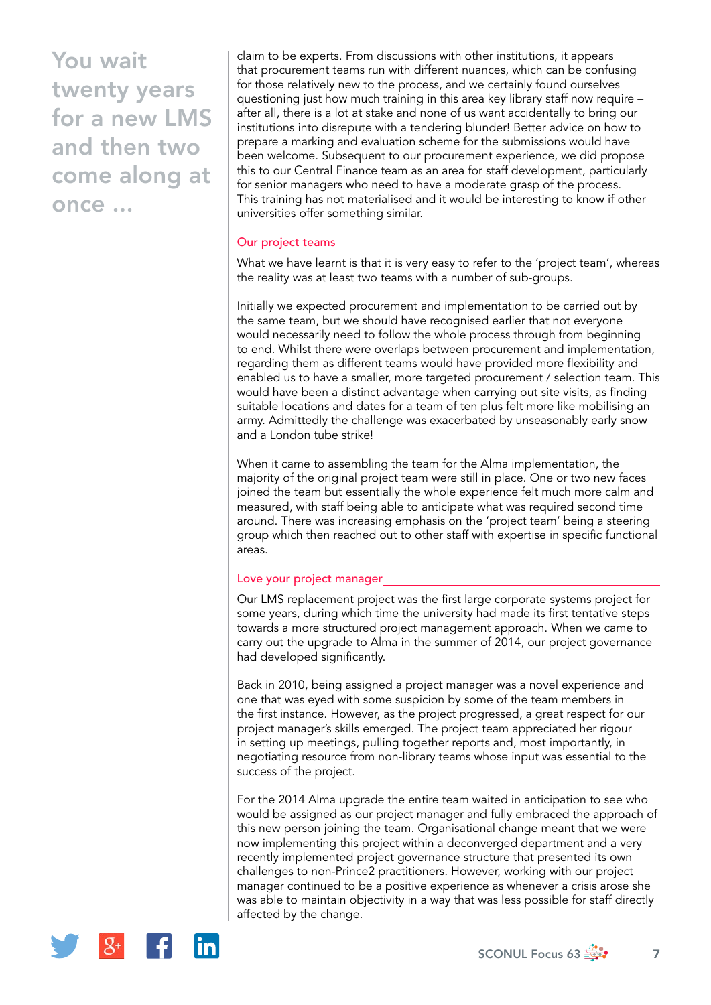claim to be experts. From discussions with other institutions, it appears that procurement teams run with different nuances, which can be confusing for those relatively new to the process, and we certainly found ourselves questioning just how much training in this area key library staff now require – after all, there is a lot at stake and none of us want accidentally to bring our institutions into disrepute with a tendering blunder! Better advice on how to prepare a marking and evaluation scheme for the submissions would have been welcome. Subsequent to our procurement experience, we did propose this to our Central Finance team as an area for staff development, particularly for senior managers who need to have a moderate grasp of the process. This training has not materialised and it would be interesting to know if other universities offer something similar.

#### Our project teams

What we have learnt is that it is very easy to refer to the 'project team', whereas the reality was at least two teams with a number of sub-groups.

Initially we expected procurement and implementation to be carried out by the same team, but we should have recognised earlier that not everyone would necessarily need to follow the whole process through from beginning to end. Whilst there were overlaps between procurement and implementation, regarding them as different teams would have provided more flexibility and enabled us to have a smaller, more targeted procurement / selection team. This would have been a distinct advantage when carrying out site visits, as finding suitable locations and dates for a team of ten plus felt more like mobilising an army. Admittedly the challenge was exacerbated by unseasonably early snow and a London tube strike!

When it came to assembling the team for the Alma implementation, the majority of the original project team were still in place. One or two new faces joined the team but essentially the whole experience felt much more calm and measured, with staff being able to anticipate what was required second time around. There was increasing emphasis on the 'project team' being a steering group which then reached out to other staff with expertise in specific functional areas.

#### Love your project manager

Our LMS replacement project was the first large corporate systems project for some years, during which time the university had made its first tentative steps towards a more structured project management approach. When we came to carry out the upgrade to Alma in the summer of 2014, our project governance had developed significantly.

Back in 2010, being assigned a project manager was a novel experience and one that was eyed with some suspicion by some of the team members in the first instance. However, as the project progressed, a great respect for our project manager's skills emerged. The project team appreciated her rigour in setting up meetings, pulling together reports and, most importantly, in negotiating resource from non-library teams whose input was essential to the success of the project.

For the 2014 Alma upgrade the entire team waited in anticipation to see who would be assigned as our project manager and fully embraced the approach of this new person joining the team. Organisational change meant that we were now implementing this project within a deconverged department and a very recently implemented project governance structure that presented its own challenges to non-Prince2 practitioners. However, working with our project manager continued to be a positive experience as whenever a crisis arose she was able to maintain objectivity in a way that was less possible for staff directly affected by the change.

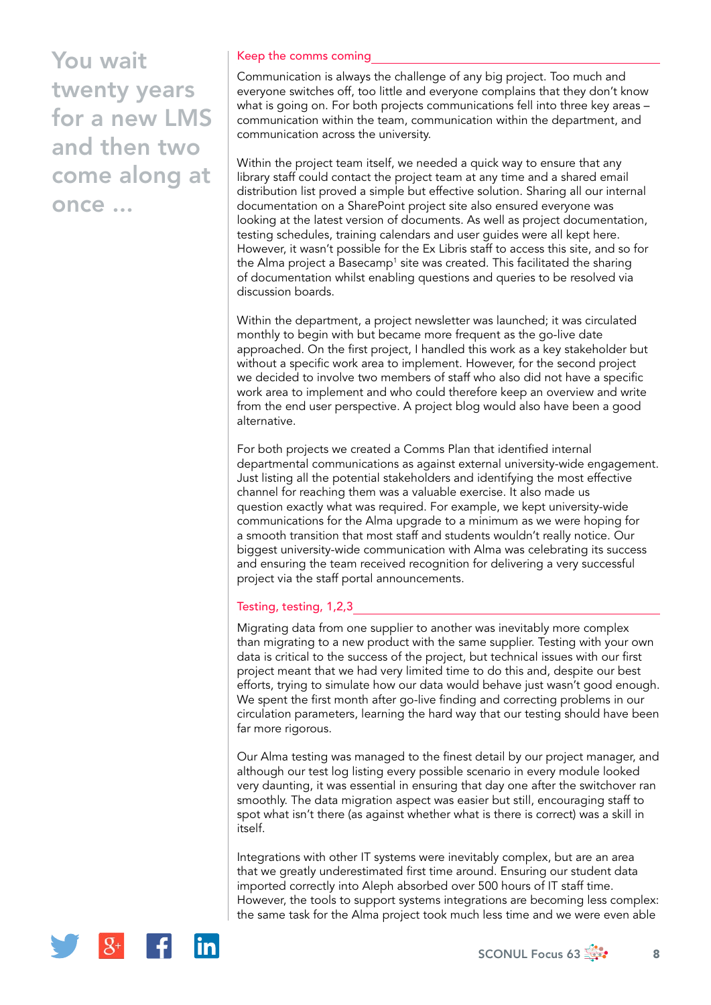### Keep the comms coming

Communication is always the challenge of any big project. Too much and everyone switches off, too little and everyone complains that they don't know what is going on. For both projects communications fell into three key areas – communication within the team, communication within the department, and communication across the university.

Within the project team itself, we needed a quick way to ensure that any library staff could contact the project team at any time and a shared email distribution list proved a simple but effective solution. Sharing all our internal documentation on a SharePoint project site also ensured everyone was looking at the latest version of documents. As well as project documentation, testing schedules, training calendars and user guides were all kept here. However, it wasn't possible for the Ex Libris staff to access this site, and so for the Alma project a Basecamp<sup>1</sup> site was created. This facilitated the sharing of documentation whilst enabling questions and queries to be resolved via discussion boards.

Within the department, a project newsletter was launched; it was circulated monthly to begin with but became more frequent as the go-live date approached. On the first project, I handled this work as a key stakeholder but without a specific work area to implement. However, for the second project we decided to involve two members of staff who also did not have a specific work area to implement and who could therefore keep an overview and write from the end user perspective. A project blog would also have been a good alternative.

For both projects we created a Comms Plan that identified internal departmental communications as against external university-wide engagement. Just listing all the potential stakeholders and identifying the most effective channel for reaching them was a valuable exercise. It also made us question exactly what was required. For example, we kept university-wide communications for the Alma upgrade to a minimum as we were hoping for a smooth transition that most staff and students wouldn't really notice. Our biggest university-wide communication with Alma was celebrating its success and ensuring the team received recognition for delivering a very successful project via the staff portal announcements.

#### Testing, testing, 1,2,3

Migrating data from one supplier to another was inevitably more complex than migrating to a new product with the same supplier. Testing with your own data is critical to the success of the project, but technical issues with our first project meant that we had very limited time to do this and, despite our best efforts, trying to simulate how our data would behave just wasn't good enough. We spent the first month after go-live finding and correcting problems in our circulation parameters, learning the hard way that our testing should have been far more rigorous.

Our Alma testing was managed to the finest detail by our project manager, and although our test log listing every possible scenario in every module looked very daunting, it was essential in ensuring that day one after the switchover ran smoothly. The data migration aspect was easier but still, encouraging staff to spot what isn't there (as against whether what is there is correct) was a skill in itself.

Integrations with other IT systems were inevitably complex, but are an area that we greatly underestimated first time around. Ensuring our student data imported correctly into Aleph absorbed over 500 hours of IT staff time. However, the tools to support systems integrations are becoming less complex: the same task for the Alma project took much less time and we were even able



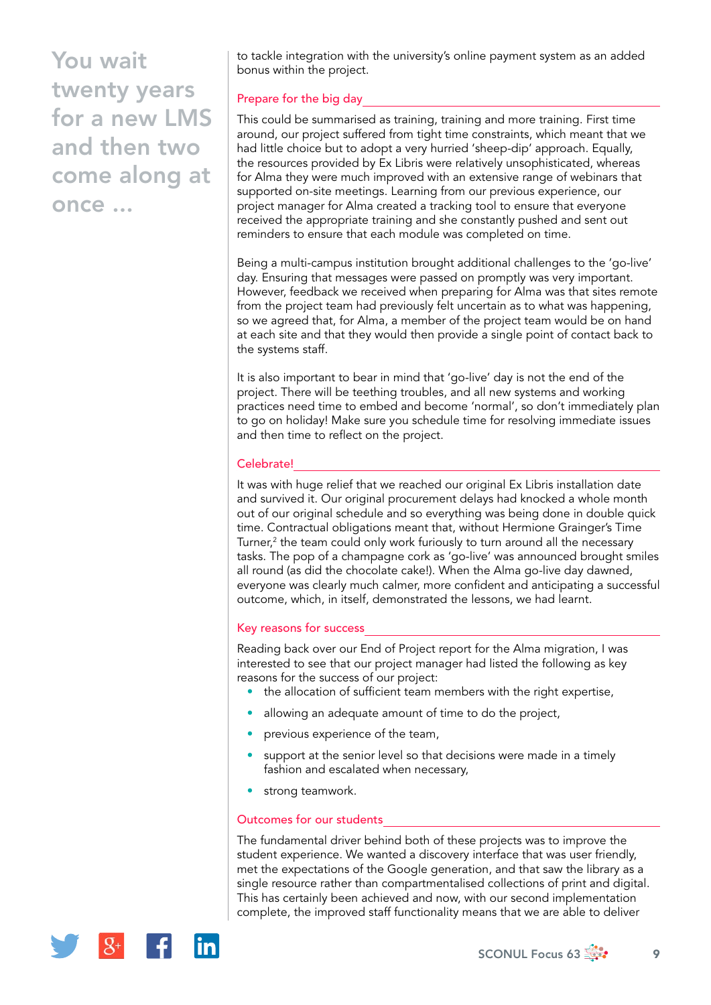to tackle integration with the university's online payment system as an added bonus within the project.

# Prepare for the big day

This could be summarised as training, training and more training. First time around, our project suffered from tight time constraints, which meant that we had little choice but to adopt a very hurried 'sheep-dip' approach. Equally, the resources provided by Ex Libris were relatively unsophisticated, whereas for Alma they were much improved with an extensive range of webinars that supported on-site meetings. Learning from our previous experience, our project manager for Alma created a tracking tool to ensure that everyone received the appropriate training and she constantly pushed and sent out reminders to ensure that each module was completed on time.

Being a multi-campus institution brought additional challenges to the 'go-live' day. Ensuring that messages were passed on promptly was very important. However, feedback we received when preparing for Alma was that sites remote from the project team had previously felt uncertain as to what was happening, so we agreed that, for Alma, a member of the project team would be on hand at each site and that they would then provide a single point of contact back to the systems staff.

It is also important to bear in mind that 'go-live' day is not the end of the project. There will be teething troubles, and all new systems and working practices need time to embed and become 'normal', so don't immediately plan to go on holiday! Make sure you schedule time for resolving immediate issues and then time to reflect on the project.

### Celebrate!

It was with huge relief that we reached our original Ex Libris installation date and survived it. Our original procurement delays had knocked a whole month out of our original schedule and so everything was being done in double quick time. Contractual obligations meant that, without Hermione Grainger's Time Turner, $2$  the team could only work furiously to turn around all the necessary tasks. The pop of a champagne cork as 'go-live' was announced brought smiles all round (as did the chocolate cake!). When the Alma go-live day dawned, everyone was clearly much calmer, more confident and anticipating a successful outcome, which, in itself, demonstrated the lessons, we had learnt.

#### Key reasons for success

Reading back over our End of Project report for the Alma migration, I was interested to see that our project manager had listed the following as key reasons for the success of our project:

- the allocation of sufficient team members with the right expertise,
- allowing an adequate amount of time to do the project,
- previous experience of the team,
- support at the senior level so that decisions were made in a timely fashion and escalated when necessary,
- strong teamwork.

#### Outcomes for our students

The fundamental driver behind both of these projects was to improve the student experience. We wanted a discovery interface that was user friendly, met the expectations of the Google generation, and that saw the library as a single resource rather than compartmentalised collections of print and digital. This has certainly been achieved and now, with our second implementation complete, the improved staff functionality means that we are able to deliver